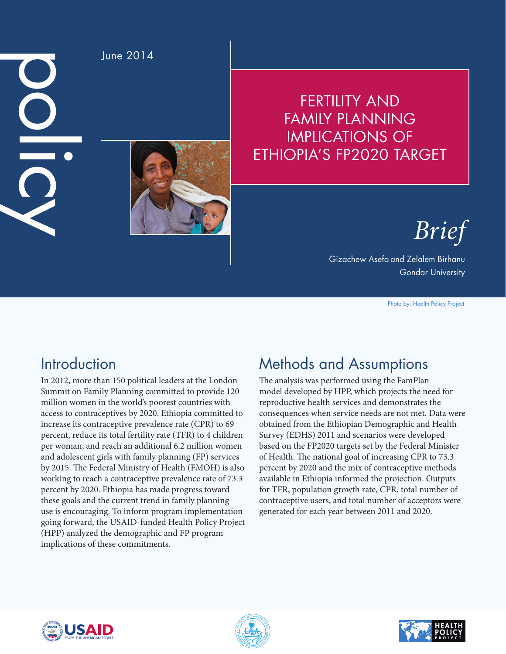$\frac{0}{0}$ 



June 2014

# FERTILITY AND FAMILY PLANNING IMPLICATIONS OF ETHIOPIA'S FP2020 TARGET

*Brief*

Gizachew Asefa and Zelalem Birhanu Gondar University

Photo by: Health Policy Project

# **Introduction**

In 2012, more than 150 political leaders at the London Summit on Family Planning committed to provide 120 million women in the world's poorest countries with access to contraceptives by 2020. Ethiopia committed to increase its contraceptive prevalence rate (CPR) to 69 percent, reduce its total fertility rate (TFR) to 4 children per woman, and reach an additional 6.2 million women and adolescent girls with family planning (FP) services by 2015. The Federal Ministry of Health (FMOH) is also working to reach a contraceptive prevalence rate of 73.3 percent by 2020. Ethiopia has made progress toward these goals and the current trend in family planning use is encouraging. To inform program implementation going forward, the USAID-funded Health Policy Project (HPP) analyzed the demographic and FP program implications of these commitments.

# Methods and Assumptions

The analysis was performed using the FamPlan model developed by HPP, which projects the need for reproductive health services and demonstrates the consequences when service needs are not met. Data were obtained from the Ethiopian Demographic and Health Survey (EDHS) 2011 and scenarios were developed based on the FP2020 targets set by the Federal Minister of Health. The national goal of increasing CPR to 73.3 percent by 2020 and the mix of contraceptive methods available in Ethiopia informed the projection. Outputs for TFR, population growth rate, CPR, total number of contraceptive users, and total number of acceptors were generated for each year between 2011 and 2020.





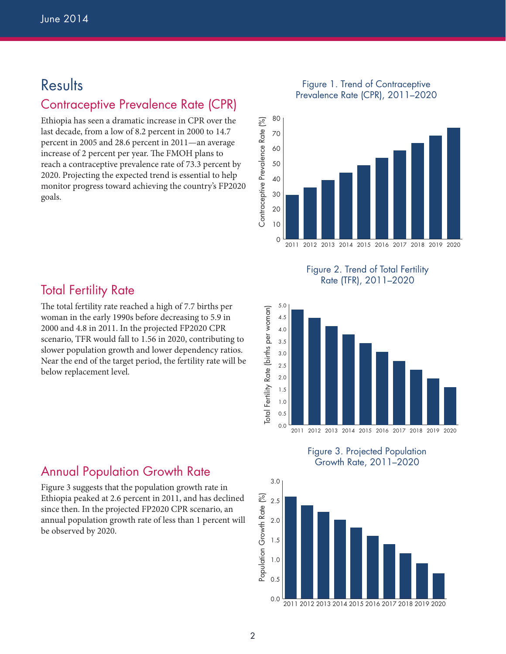# **Results**

### Contraceptive Prevalence Rate (CPR)

Ethiopia has seen a dramatic increase in CPR over the last decade, from a low of 8.2 percent in 2000 to 14.7 percent in 2005 and 28.6 percent in 2011—an average increase of 2 percent per year. The FMOH plans to reach a contraceptive prevalence rate of 73.3 percent by 2020. Projecting the expected trend is essential to help monitor progress toward achieving the country's FP2020 goals.

#### Figure 1. Trend of Contraceptive Prevalence Rate (CPR), 2011–2020



Figure 2. Trend of Total Fertility Rate (TFR), 2011–2020



Figure 3. Projected Population Growth Rate, 2011–2020



### **Total Fertility Rate**

The total fertility rate reached a high of 7.7 births per woman in the early 1990s before decreasing to 5.9 in 2000 and 4.8 in 2011. In the projected FP2020 CPR scenario, TFR would fall to 1.56 in 2020, contributing to slower population growth and lower dependency ratios. Near the end of the target period, the fertility rate will be below replacement level.

#### Annual Population Growth Rate

Figure 3 suggests that the population growth rate in Ethiopia peaked at 2.6 percent in 2011, and has declined since then. In the projected FP2020 CPR scenario, an annual population growth rate of less than 1 percent will be observed by 2020.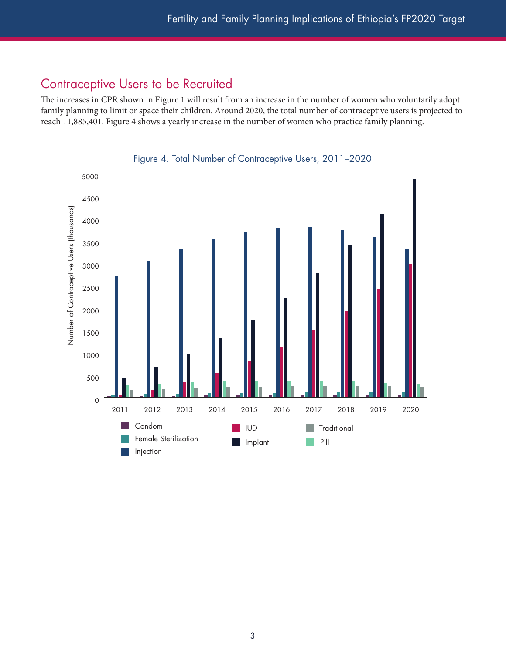### Contraceptive Users to be Recruited

The increases in CPR shown in Figure 1 will result from an increase in the number of women who voluntarily adopt family planning to limit or space their children. Around 2020, the total number of contraceptive users is projected to reach 11,885,401. Figure 4 shows a yearly increase in the number of women who practice family planning.



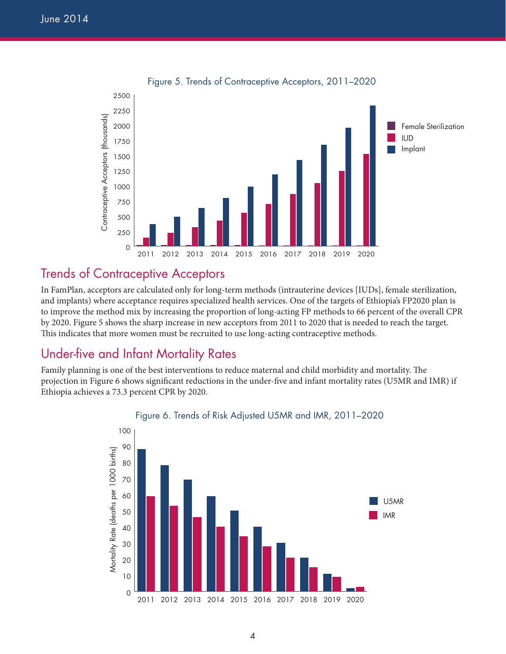

Figure 5. Trends of Contraceptive Acceptors, 2011–2020

### Trends of Contraceptive Acceptors

In FamPlan, acceptors are calculated only for long-term methods (intrauterine devices [IUDs], female sterilization, and implants) where acceptance requires specialized health services. One of the targets of Ethiopia's FP2020 plan is to improve the method mix by increasing the proportion of long-acting FP methods to 66 percent of the overall CPR by 2020. Figure 5 shows the sharp increase in new acceptors from 2011 to 2020 that is needed to reach the target. This indicates that more women must be recruited to use long-acting contraceptive methods.

### Under-five and Infant Mortality Rates

Family planning is one of the best interventions to reduce maternal and child morbidity and mortality. The projection in Figure 6 shows significant reductions in the under-five and infant mortality rates (U5MR and IMR) if Ethiopia achieves a 73.3 percent CPR by 2020.



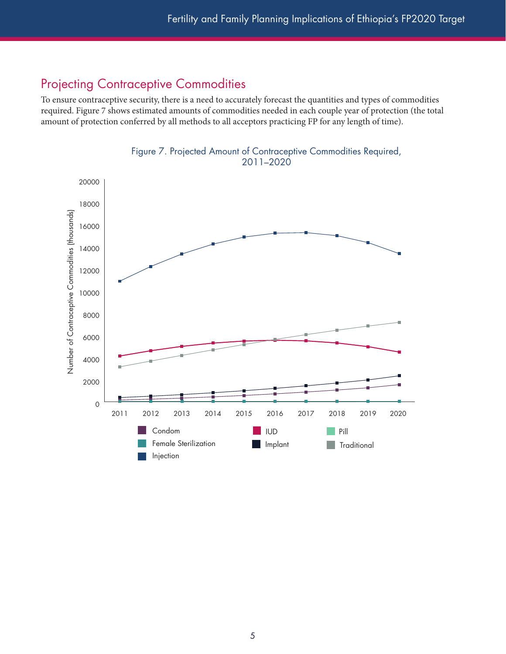### Projecting Contraceptive Commodities

To ensure contraceptive security, there is a need to accurately forecast the quantities and types of commodities required. Figure 7 shows estimated amounts of commodities needed in each couple year of protection (the total amount of protection conferred by all methods to all acceptors practicing FP for any length of time).